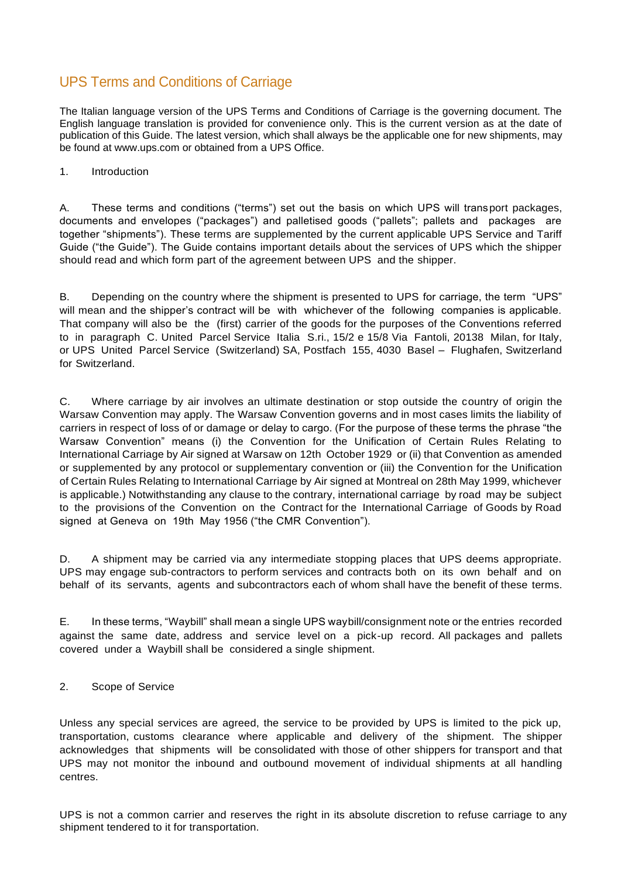# UPS Terms and Conditions of Carriage

The Italian language version of the UPS Terms and Conditions of Carriage is the governing document. The English language translation is provided for convenience only. This is the current version as at the date of publication of this Guide. The latest version, which shall always be the applicable one for new shipments, may be found at [www.ups.com o](http://www.ups.com/)r obtained from a UPS Office.

1. Introduction

A. These terms and conditions ("terms") set out the basis on which UPS will transport packages, documents and envelopes ("packages") and palletised goods ("pallets"; pallets and packages are together "shipments"). These terms are supplemented by the current applicable UPS Service and Tariff Guide ("the Guide"). The Guide contains important details about the services of UPS which the shipper should read and which form part of the agreement between UPS and the shipper.

B. Depending on the country where the shipment is presented to UPS for carriage, the term "UPS" will mean and the shipper's contract will be with whichever of the following companies is applicable. That company will also be the (first) carrier of the goods for the purposes of the Conventions referred to in paragraph C. United Parcel Service Italia S.ri., 15/2 e 15/8 Via Fantoli, 20138 Milan, for Italy, or UPS United Parcel Service (Switzerland) SA, Postfach 155, 4030 Basel – Flughafen, Switzerland for Switzerland.

C. Where carriage by air involves an ultimate destination or stop outside the country of origin the Warsaw Convention may apply. The Warsaw Convention governs and in most cases limits the liability of carriers in respect of loss of or damage or delay to cargo. (For the purpose of these terms the phrase "the Warsaw Convention" means (i) the Convention for the Unification of Certain Rules Relating to International Carriage by Air signed at Warsaw on 12th October 1929 or (ii) that Convention as amended or supplemented by any protocol or supplementary convention or (iii) the Convention for the Unification of Certain Rules Relating to International Carriage by Air signed at Montreal on 28th May 1999, whichever is applicable.) Notwithstanding any clause to the contrary, international carriage by road may be subject to the provisions of the Convention on the Contract for the International Carriage of Goods by Road signed at Geneva on 19th May 1956 ("the CMR Convention").

D. A shipment may be carried via any intermediate stopping places that UPS deems appropriate. UPS may engage sub-contractors to perform services and contracts both on its own behalf and on behalf of its servants, agents and subcontractors each of whom shall have the benefit of these terms.

E. In these terms, "Waybill" shall mean a single UPS waybill/consignment note or the entries recorded against the same date, address and service level on a pick-up record. All packages and pallets covered under a Waybill shall be considered a single shipment.

#### 2. Scope of Service

Unless any special services are agreed, the service to be provided by UPS is limited to the pick up, transportation, customs clearance where applicable and delivery of the shipment. The shipper acknowledges that shipments will be consolidated with those of other shippers for transport and that UPS may not monitor the inbound and outbound movement of individual shipments at all handling centres.

UPS is not a common carrier and reserves the right in its absolute discretion to refuse carriage to any shipment tendered to it for transportation.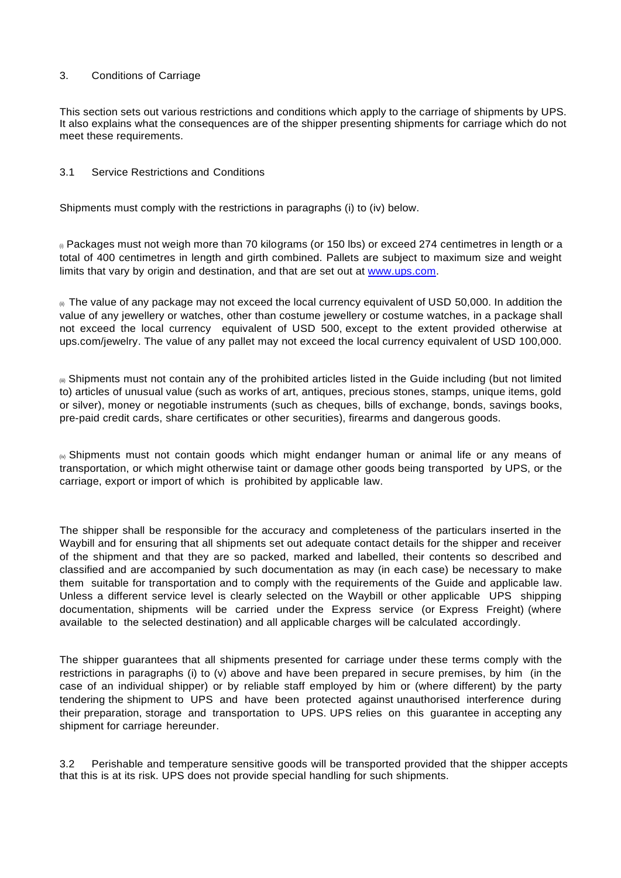#### 3. Conditions of Carriage

This section sets out various restrictions and conditions which apply to the carriage of shipments by UPS. It also explains what the consequences are of the shipper presenting shipments for carriage which do not meet these requirements.

#### 3.1 Service Restrictions and Conditions

Shipments must comply with the restrictions in paragraphs (i) to (iv) below.

 $<sub>0</sub>$  Packages must not weigh more than 70 kilograms (or 150 lbs) or exceed 274 centimetres in length or a</sub> total of 400 centimetres in length and girth combined. Pallets are subject to maximum size and weight limits that vary by origin and destination, and that are set out at [www.ups.com.](http://www.ups.com/)

 $_{\odot}$  The value of any package may not exceed the local currency equivalent of USD 50,000. In addition the value of any jewellery or watches, other than costume jewellery or costume watches, in a package shall not exceed the local currency equivalent of USD 500, except to the extent provided otherwise at ups.com/jewelry. The value of any pallet may not exceed the local currency equivalent of USD 100,000.

(iii) Shipments must not contain any of the prohibited articles listed in the Guide including (but not limited to) articles of unusual value (such as works of art, antiques, precious stones, stamps, unique items, gold or silver), money or negotiable instruments (such as cheques, bills of exchange, bonds, savings books, pre-paid credit cards, share certificates or other securities), firearms and dangerous goods.

 $\omega$  Shipments must not contain goods which might endanger human or animal life or any means of transportation, or which might otherwise taint or damage other goods being transported by UPS, or the carriage, export or import of which is prohibited by applicable law.

The shipper shall be responsible for the accuracy and completeness of the particulars inserted in the Waybill and for ensuring that all shipments set out adequate contact details for the shipper and receiver of the shipment and that they are so packed, marked and labelled, their contents so described and classified and are accompanied by such documentation as may (in each case) be necessary to make them suitable for transportation and to comply with the requirements of the Guide and applicable law. Unless a different service level is clearly selected on the Waybill or other applicable UPS shipping documentation, shipments will be carried under the Express service (or Express Freight) (where available to the selected destination) and all applicable charges will be calculated accordingly.

The shipper guarantees that all shipments presented for carriage under these terms comply with the restrictions in paragraphs (i) to (v) above and have been prepared in secure premises, by him (in the case of an individual shipper) or by reliable staff employed by him or (where different) by the party tendering the shipment to UPS and have been protected against unauthorised interference during their preparation, storage and transportation to UPS. UPS relies on this guarantee in accepting any shipment for carriage hereunder.

3.2 Perishable and temperature sensitive goods will be transported provided that the shipper accepts that this is at its risk. UPS does not provide special handling for such shipments.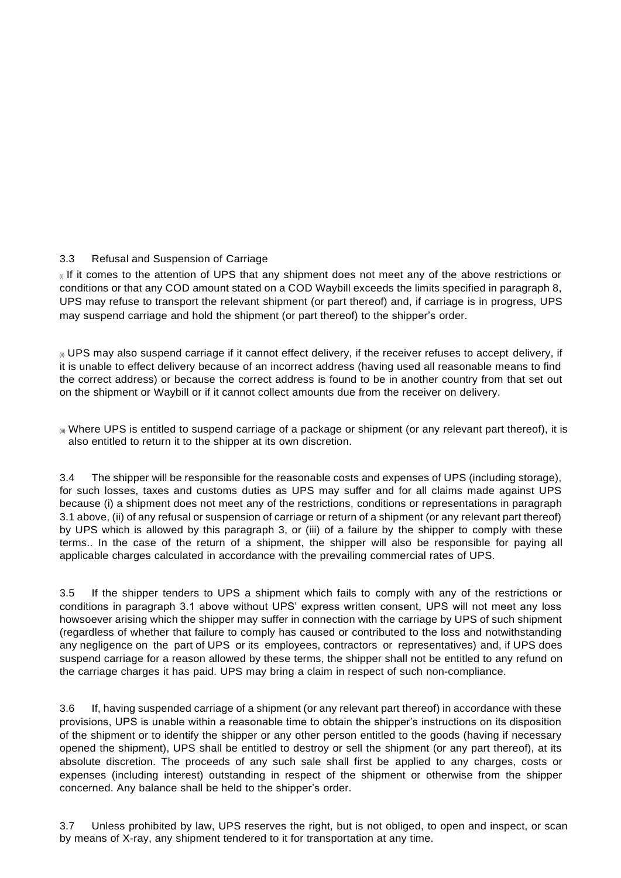# 3.3 Refusal and Suspension of Carriage

 $\theta$  If it comes to the attention of UPS that any shipment does not meet any of the above restrictions or conditions or that any COD amount stated on a COD Waybill exceeds the limits specified in paragraph 8, UPS may refuse to transport the relevant shipment (or part thereof) and, if carriage is in progress, UPS may suspend carriage and hold the shipment (or part thereof) to the shipper's order.

(ii) UPS may also suspend carriage if it cannot effect delivery, if the receiver refuses to accept delivery, if it is unable to effect delivery because of an incorrect address (having used all reasonable means to find the correct address) or because the correct address is found to be in another country from that set out on the shipment or Waybill or if it cannot collect amounts due from the receiver on delivery.

 $\bullet$  Where UPS is entitled to suspend carriage of a package or shipment (or any relevant part thereof), it is also entitled to return it to the shipper at its own discretion.

3.4 The shipper will be responsible for the reasonable costs and expenses of UPS (including storage), for such losses, taxes and customs duties as UPS may suffer and for all claims made against UPS because (i) a shipment does not meet any of the restrictions, conditions or representations in paragraph 3.1 above, (ii) of any refusal or suspension of carriage or return of a shipment (or any relevant part thereof) by UPS which is allowed by this paragraph 3, or (iii) of a failure by the shipper to comply with these terms.. In the case of the return of a shipment, the shipper will also be responsible for paying all applicable charges calculated in accordance with the prevailing commercial rates of UPS.

3.5 If the shipper tenders to UPS a shipment which fails to comply with any of the restrictions or conditions in paragraph 3.1 above without UPS' express written consent, UPS will not meet any loss howsoever arising which the shipper may suffer in connection with the carriage by UPS of such shipment (regardless of whether that failure to comply has caused or contributed to the loss and notwithstanding any negligence on the part of UPS or its employees, contractors or representatives) and, if UPS does suspend carriage for a reason allowed by these terms, the shipper shall not be entitled to any refund on the carriage charges it has paid. UPS may bring a claim in respect of such non-compliance.

3.6 If, having suspended carriage of a shipment (or any relevant part thereof) in accordance with these provisions, UPS is unable within a reasonable time to obtain the shipper's instructions on its disposition of the shipment or to identify the shipper or any other person entitled to the goods (having if necessary opened the shipment), UPS shall be entitled to destroy or sell the shipment (or any part thereof), at its absolute discretion. The proceeds of any such sale shall first be applied to any charges, costs or expenses (including interest) outstanding in respect of the shipment or otherwise from the shipper concerned. Any balance shall be held to the shipper's order.

3.7 Unless prohibited by law, UPS reserves the right, but is not obliged, to open and inspect, or scan by means of X-ray, any shipment tendered to it for transportation at any time.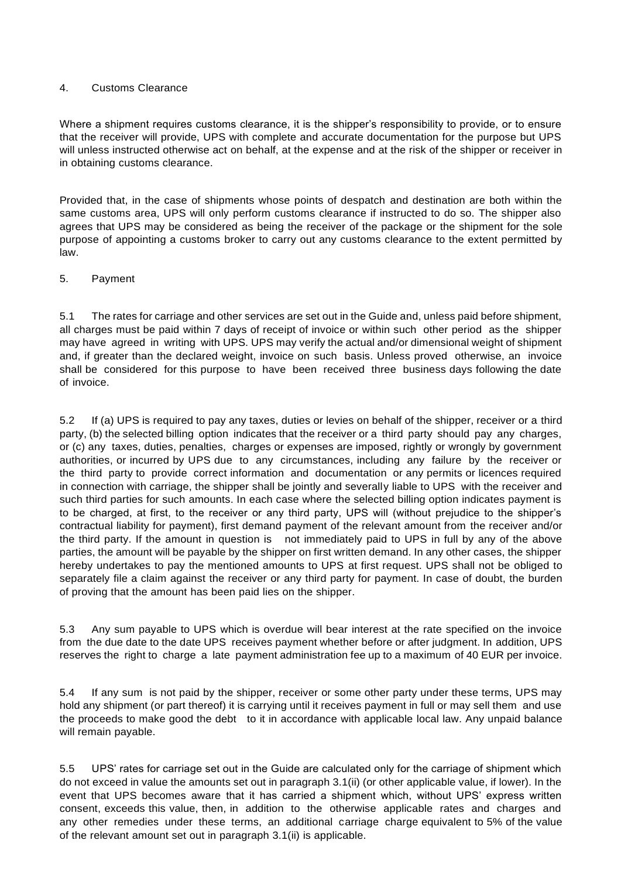#### 4. Customs Clearance

Where a shipment requires customs clearance, it is the shipper's responsibility to provide, or to ensure that the receiver will provide, UPS with complete and accurate documentation for the purpose but UPS will unless instructed otherwise act on behalf, at the expense and at the risk of the shipper or receiver in in obtaining customs clearance.

Provided that, in the case of shipments whose points of despatch and destination are both within the same customs area, UPS will only perform customs clearance if instructed to do so. The shipper also agrees that UPS may be considered as being the receiver of the package or the shipment for the sole purpose of appointing a customs broker to carry out any customs clearance to the extent permitted by law.

#### 5. Payment

5.1 The rates for carriage and other services are set out in the Guide and, unless paid before shipment, all charges must be paid within 7 days of receipt of invoice or within such other period as the shipper may have agreed in writing with UPS. UPS may verify the actual and/or dimensional weight of shipment and, if greater than the declared weight, invoice on such basis. Unless proved otherwise, an invoice shall be considered for this purpose to have been received three business days following the date of invoice.

5.2 If (a) UPS is required to pay any taxes, duties or levies on behalf of the shipper, receiver or a third party, (b) the selected billing option indicates that the receiver or a third party should pay any charges, or (c) any taxes, duties, penalties, charges or expenses are imposed, rightly or wrongly by government authorities, or incurred by UPS due to any circumstances, including any failure by the receiver or the third party to provide correct information and documentation or any permits or licences required in connection with carriage, the shipper shall be jointly and severally liable to UPS with the receiver and such third parties for such amounts. In each case where the selected billing option indicates payment is to be charged, at first, to the receiver or any third party, UPS will (without prejudice to the shipper's contractual liability for payment), first demand payment of the relevant amount from the receiver and/or the third party. If the amount in question is not immediately paid to UPS in full by any of the above parties, the amount will be payable by the shipper on first written demand. In any other cases, the shipper hereby undertakes to pay the mentioned amounts to UPS at first request. UPS shall not be obliged to separately file a claim against the receiver or any third party for payment. In case of doubt, the burden of proving that the amount has been paid lies on the shipper.

5.3 Any sum payable to UPS which is overdue will bear interest at the rate specified on the invoice from the due date to the date UPS receives payment whether before or after judgment. In addition, UPS reserves the right to charge a late payment administration fee up to a maximum of 40 EUR per invoice.

5.4 If any sum is not paid by the shipper, receiver or some other party under these terms, UPS may hold any shipment (or part thereof) it is carrying until it receives payment in full or may sell them and use the proceeds to make good the debt to it in accordance with applicable local law. Any unpaid balance will remain payable.

5.5 UPS' rates for carriage set out in the Guide are calculated only for the carriage of shipment which do not exceed in value the amounts set out in paragraph 3.1(ii) (or other applicable value, if lower). In the event that UPS becomes aware that it has carried a shipment which, without UPS' express written consent, exceeds this value, then, in addition to the otherwise applicable rates and charges and any other remedies under these terms, an additional carriage charge equivalent to 5% of the value of the relevant amount set out in paragraph 3.1(ii) is applicable.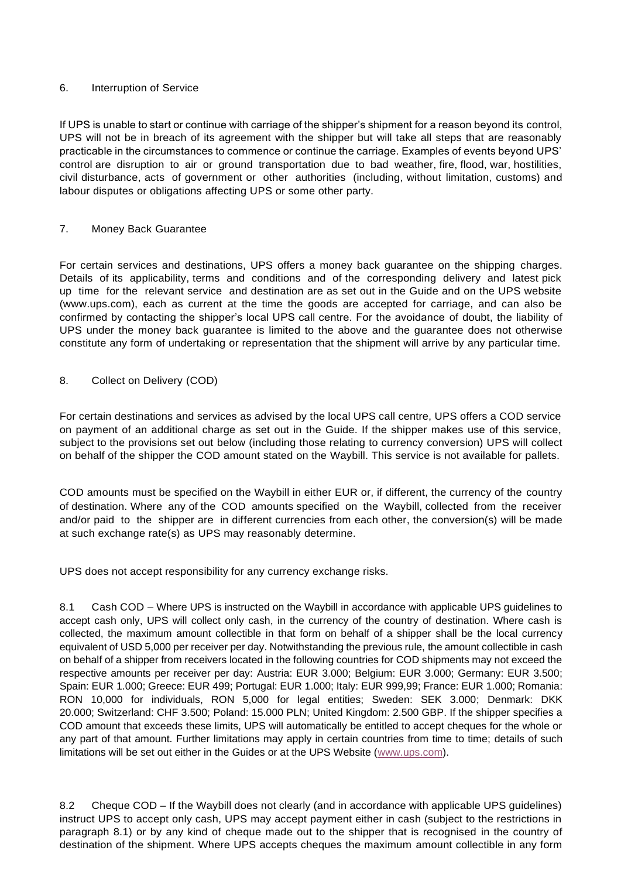#### 6. Interruption of Service

If UPS is unable to start or continue with carriage of the shipper's shipment for a reason beyond its control, UPS will not be in breach of its agreement with the shipper but will take all steps that are reasonably practicable in the circumstances to commence or continue the carriage. Examples of events beyond UPS' control are disruption to air or ground transportation due to bad weather, fire, flood, war, hostilities, civil disturbance, acts of government or other authorities (including, without limitation, customs) and labour disputes or obligations affecting UPS or some other party.

## 7. Money Back Guarantee

For certain services and destinations, UPS offers a money back guarantee on the shipping charges. Details of its applicability, terms and conditions and of the corresponding delivery and latest pick up time for the relevant service and destination are as set out in the Guide and on the UPS website (www.ups.com), each as current at the time the goods are accepted for carriage, and can also be confirmed by contacting the shipper's local UPS call centre. For the avoidance of doubt, the liability of UPS under the money back guarantee is limited to the above and the guarantee does not otherwise constitute any form of undertaking or representation that the shipment will arrive by any particular time.

## 8. Collect on Delivery (COD)

For certain destinations and services as advised by the local UPS call centre, UPS offers a COD service on payment of an additional charge as set out in the Guide. If the shipper makes use of this service, subject to the provisions set out below (including those relating to currency conversion) UPS will collect on behalf of the shipper the COD amount stated on the Waybill. This service is not available for pallets.

COD amounts must be specified on the Waybill in either EUR or, if different, the currency of the country of destination. Where any of the COD amounts specified on the Waybill, collected from the receiver and/or paid to the shipper are in different currencies from each other, the conversion(s) will be made at such exchange rate(s) as UPS may reasonably determine.

UPS does not accept responsibility for any currency exchange risks.

8.1 Cash COD – Where UPS is instructed on the Waybill in accordance with applicable UPS guidelines to accept cash only, UPS will collect only cash, in the currency of the country of destination. Where cash is collected, the maximum amount collectible in that form on behalf of a shipper shall be the local currency equivalent of USD 5,000 per receiver per day. Notwithstanding the previous rule, the amount collectible in cash on behalf of a shipper from receivers located in the following countries for COD shipments may not exceed the respective amounts per receiver per day: Austria: EUR 3.000; Belgium: EUR 3.000; Germany: EUR 3.500; Spain: EUR 1.000; Greece: EUR 499; Portugal: EUR 1.000; Italy: EUR 999,99; France: EUR 1.000; Romania: RON 10,000 for individuals, RON 5,000 for legal entities; Sweden: SEK 3.000; Denmark: DKK 20.000; Switzerland: CHF 3.500; Poland: 15.000 PLN; United Kingdom: 2.500 GBP. If the shipper specifies a COD amount that exceeds these limits, UPS will automatically be entitled to accept cheques for the whole or any part of that amount. Further limitations may apply in certain countries from time to time; details of such limitations will be set out either in the Guides or at the UPS Website [\(www.ups.com\)](http://www.ups.com/).

8.2 Cheque COD – If the Waybill does not clearly (and in accordance with applicable UPS guidelines) instruct UPS to accept only cash, UPS may accept payment either in cash (subject to the restrictions in paragraph 8.1) or by any kind of cheque made out to the shipper that is recognised in the country of destination of the shipment. Where UPS accepts cheques the maximum amount collectible in any form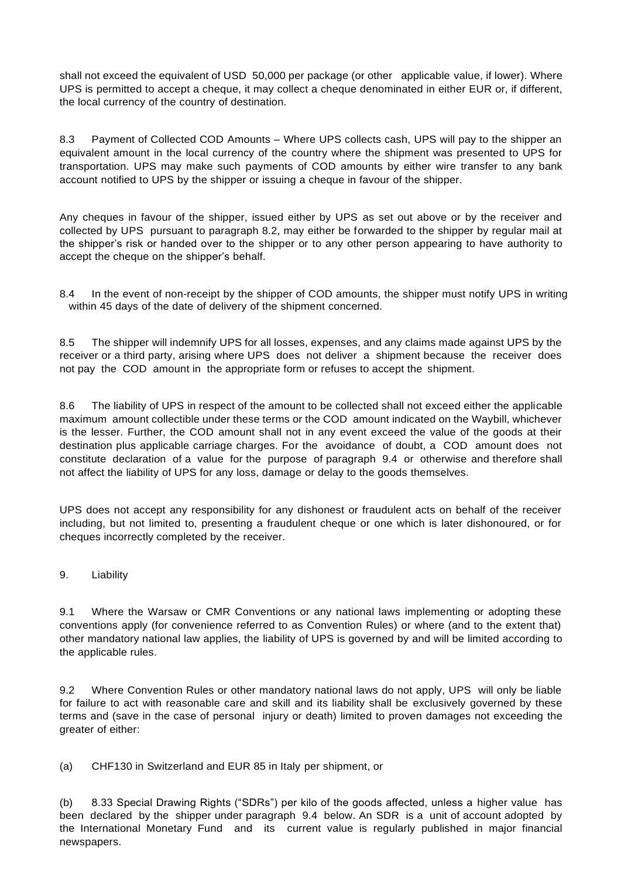shall not exceed the equivalent of USD 50,000 per package (or other applicable value, if lower). Where UPS is permitted to accept a cheque, it may collect a cheque denominated in either EUR or, if different, the local currency of the country of destination.

8.3 Payment of Collected COD Amounts – Where UPS collects cash, UPS will pay to the shipper an equivalent amount in the local currency of the country where the shipment was presented to UPS for transportation. UPS may make such payments of COD amounts by either wire transfer to any bank account notified to UPS by the shipper or issuing a cheque in favour of the shipper.

Any cheques in favour of the shipper, issued either by UPS as set out above or by the receiver and collected by UPS pursuant to paragraph 8.2, may either be forwarded to the shipper by regular mail at the shipper's risk or handed over to the shipper or to any other person appearing to have authority to accept the cheque on the shipper's behalf.

8.4 In the event of non-receipt by the shipper of COD amounts, the shipper must notify UPS in writing within 45 days of the date of delivery of the shipment concerned.

8.5 The shipper will indemnify UPS for all losses, expenses, and any claims made against UPS by the receiver or a third party, arising where UPS does not deliver a shipment because the receiver does not pay the COD amount in the appropriate form or refuses to accept the shipment.

8.6 The liability of UPS in respect of the amount to be collected shall not exceed either the applicable maximum amount collectible under these terms or the COD amount indicated on the Waybill, whichever is the lesser. Further, the COD amount shall not in any event exceed the value of the goods at their destination plus applicable carriage charges. For the avoidance of doubt, a COD amount does not constitute declaration of a value for the purpose of paragraph 9.4 or otherwise and therefore shall not affect the liability of UPS for any loss, damage or delay to the goods themselves.

UPS does not accept any responsibility for any dishonest or fraudulent acts on behalf of the receiver including, but not limited to, presenting a fraudulent cheque or one which is later dishonoured, or for cheques incorrectly completed by the receiver.

9. Liability

9.1 Where the Warsaw or CMR Conventions or any national laws implementing or adopting these conventions apply (for convenience referred to as Convention Rules) or where (and to the extent that) other mandatory national law applies, the liability of UPS is governed by and will be limited according to the applicable rules.

9.2 Where Convention Rules or other mandatory national laws do not apply, UPS will only be liable for failure to act with reasonable care and skill and its liability shall be exclusively governed by these terms and (save in the case of personal injury or death) limited to proven damages not exceeding the greater of either:

(a) CHF130 in Switzerland and EUR 85 in Italy per shipment, or

(b) 8.33 Special Drawing Rights ("SDRs") per kilo of the goods affected, unless a higher value has been declared by the shipper under paragraph 9.4 below. An SDR is a unit of account adopted by the International Monetary Fund and its current value is regularly published in major financial newspapers.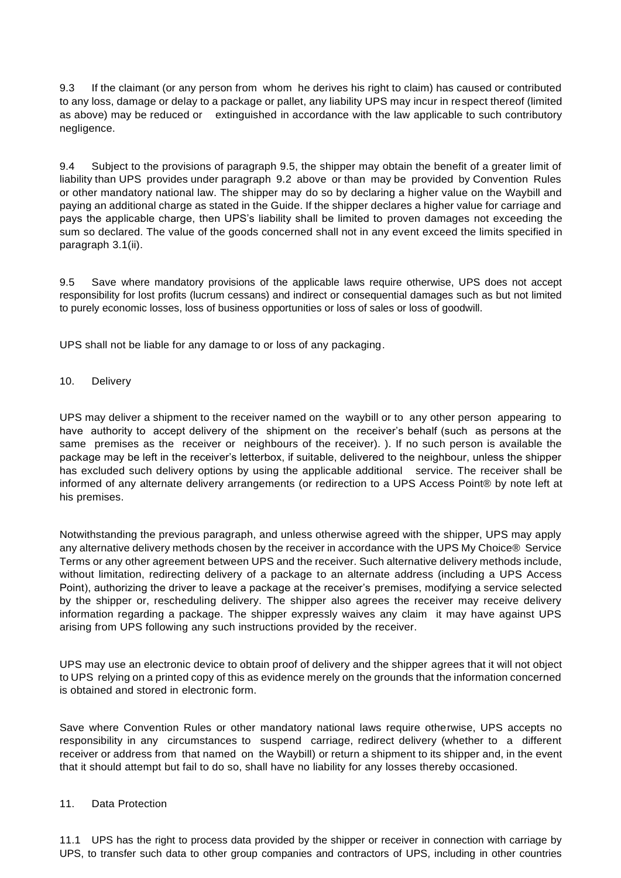9.3 If the claimant (or any person from whom he derives his right to claim) has caused or contributed to any loss, damage or delay to a package or pallet, any liability UPS may incur in respect thereof (limited as above) may be reduced or extinguished in accordance with the law applicable to such contributory negligence.

9.4 Subject to the provisions of paragraph 9.5, the shipper may obtain the benefit of a greater limit of liability than UPS provides under paragraph 9.2 above or than may be provided by Convention Rules or other mandatory national law. The shipper may do so by declaring a higher value on the Waybill and paying an additional charge as stated in the Guide. If the shipper declares a higher value for carriage and pays the applicable charge, then UPS's liability shall be limited to proven damages not exceeding the sum so declared. The value of the goods concerned shall not in any event exceed the limits specified in paragraph 3.1(ii).

9.5 Save where mandatory provisions of the applicable laws require otherwise, UPS does not accept responsibility for lost profits (lucrum cessans) and indirect or consequential damages such as but not limited to purely economic losses, loss of business opportunities or loss of sales or loss of goodwill.

UPS shall not be liable for any damage to or loss of any packaging.

10. Delivery

UPS may deliver a shipment to the receiver named on the waybill or to any other person appearing to have authority to accept delivery of the shipment on the receiver's behalf (such as persons at the same premises as the receiver or neighbours of the receiver). ). If no such person is available the package may be left in the receiver's letterbox, if suitable, delivered to the neighbour, unless the shipper has excluded such delivery options by using the applicable additional service. The receiver shall be informed of any alternate delivery arrangements (or redirection to a UPS Access Point® by note left at his premises.

Notwithstanding the previous paragraph, and unless otherwise agreed with the shipper, UPS may apply any alternative delivery methods chosen by the receiver in accordance with the UPS My Choice® Service Terms or any other agreement between UPS and the receiver. Such alternative delivery methods include, without limitation, redirecting delivery of a package to an alternate address (including a UPS Access Point), authorizing the driver to leave a package at the receiver's premises, modifying a service selected by the shipper or, rescheduling delivery. The shipper also agrees the receiver may receive delivery information regarding a package. The shipper expressly waives any claim it may have against UPS arising from UPS following any such instructions provided by the receiver.

UPS may use an electronic device to obtain proof of delivery and the shipper agrees that it will not object to UPS relying on a printed copy of this as evidence merely on the grounds that the information concerned is obtained and stored in electronic form.

Save where Convention Rules or other mandatory national laws require otherwise, UPS accepts no responsibility in any circumstances to suspend carriage, redirect delivery (whether to a different receiver or address from that named on the Waybill) or return a shipment to its shipper and, in the event that it should attempt but fail to do so, shall have no liability for any losses thereby occasioned.

#### 11. Data Protection

11.1 UPS has the right to process data provided by the shipper or receiver in connection with carriage by UPS, to transfer such data to other group companies and contractors of UPS, including in other countries